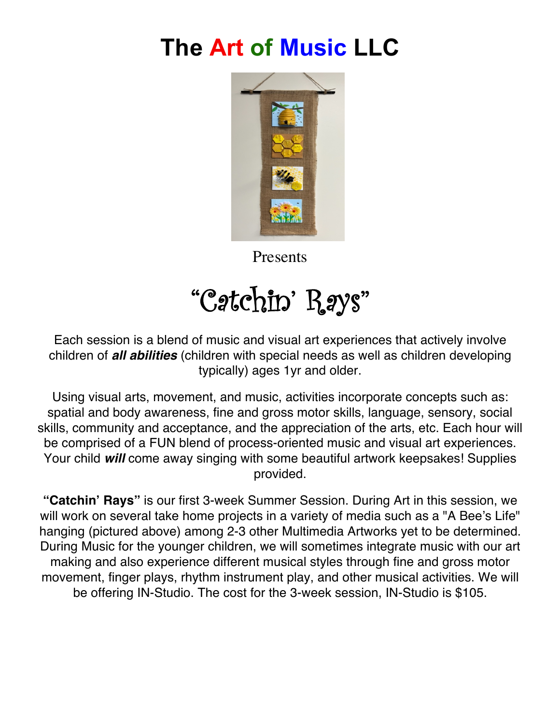## **The Art of Music LLC**



Presents

# "Catchin' Rays"

Each session is a blend of music and visual art experiences that actively involve children of *all abilities* (children with special needs as well as children developing typically) ages 1yr and older.

Using visual arts, movement, and music, activities incorporate concepts such as: spatial and body awareness, fine and gross motor skills, language, sensory, social skills, community and acceptance, and the appreciation of the arts, etc. Each hour will be comprised of a FUN blend of process-oriented music and visual art experiences. Your child *will* come away singing with some beautiful artwork keepsakes! Supplies provided.

**"Catchin' Rays"** is our first 3-week Summer Session. During Art in this session, we will work on several take home projects in a variety of media such as a "A Bee's Life" hanging (pictured above) among 2-3 other Multimedia Artworks yet to be determined. During Music for the younger children, we will sometimes integrate music with our art making and also experience different musical styles through fine and gross motor movement, finger plays, rhythm instrument play, and other musical activities. We will be offering IN-Studio. The cost for the 3-week session, IN-Studio is \$105.